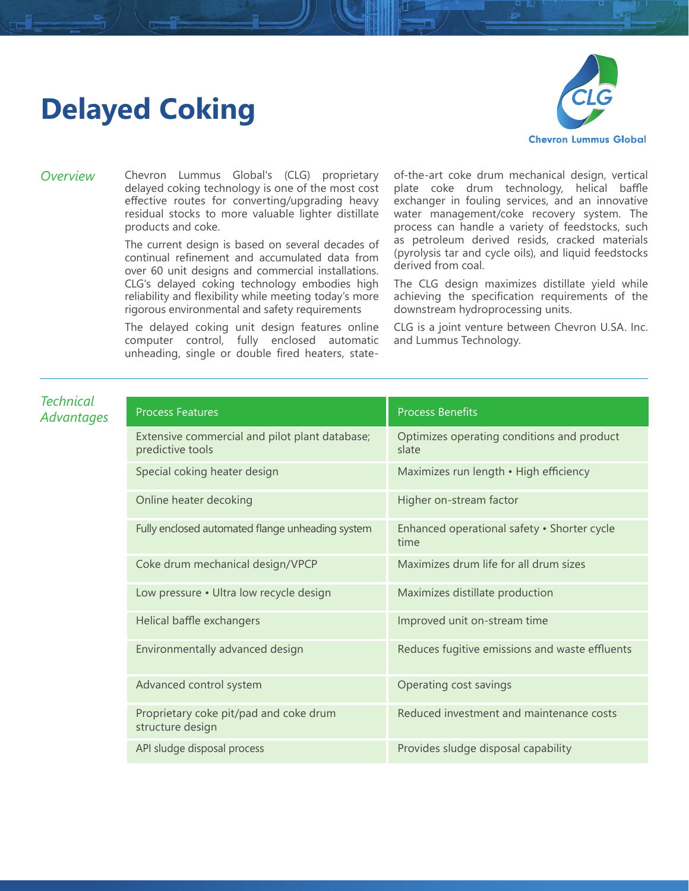## **Delayed Coking**



*Overview* Chevron Lummus Global's (CLG) proprietary delayed coking technology is one of the most cost effective routes for converting/upgrading heavy residual stocks to more valuable lighter distillate products and coke.

> The current design is based on several decades of continual refinement and accumulated data from over 60 unit designs and commercial installations. CLG's delayed coking technology embodies high reliability and flexibility while meeting today's more rigorous environmental and safety requirements

> The delayed coking unit design features online computer control, fully enclosed automatic unheading, single or double fired heaters, state

of-the-art coke drum mechanical design, vertical plate coke drum technology, helical baffle exchanger in fouling services, and an innovative water management/coke recovery system. The process can handle a variety of feedstocks, such as petroleum derived resids, cracked materials (pyrolysis tar and cycle oils), and liquid feedstocks derived from coal.

The CLG design maximizes distillate yield while achieving the specification requirements of the downstream hydroprocessing units.

CLG is a joint venture between Chevron U.SA. Inc. and Lummus Technology.

| <b>Technical</b><br>Advantages | <b>Process Features</b>                                            | <b>Process Benefits</b>                             |
|--------------------------------|--------------------------------------------------------------------|-----------------------------------------------------|
|                                | Extensive commercial and pilot plant database;<br>predictive tools | Optimizes operating conditions and product<br>slate |
|                                | Special coking heater design                                       | Maximizes run length • High efficiency              |
|                                | Online heater decoking                                             | Higher on-stream factor                             |
|                                | Fully enclosed automated flange unheading system                   | Enhanced operational safety · Shorter cycle<br>time |
|                                | Coke drum mechanical design/VPCP                                   | Maximizes drum life for all drum sizes              |
|                                | Low pressure . Ultra low recycle design                            | Maximizes distillate production                     |
|                                | Helical baffle exchangers                                          | Improved unit on-stream time                        |
|                                | Environmentally advanced design                                    | Reduces fugitive emissions and waste effluents      |
|                                | Advanced control system                                            | Operating cost savings                              |
|                                | Proprietary coke pit/pad and coke drum<br>structure design         | Reduced investment and maintenance costs            |
|                                | API sludge disposal process                                        | Provides sludge disposal capability                 |